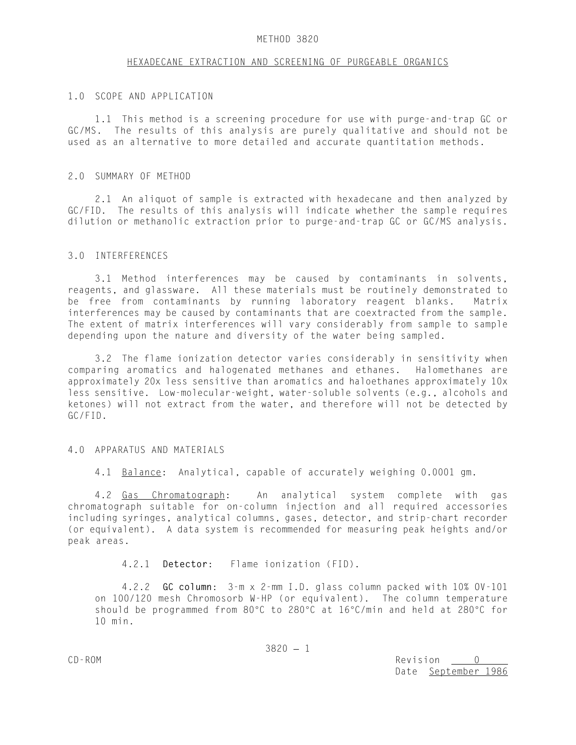#### METHOD 3820

### HEXADECANE EXTRACTION AND SCREENING OF PURGEABLE ORGANICS

#### 1.0 SCOPE AND APPLICATION

1.1 This method is a screening procedure for use with purge-and-trap GC or GC/MS. The results of this analysis are purely qualitative and should not be used as an alternative to more detailed and accurate quantitation methods.

#### 2.0 SUMMARY OF METHOD

2.1 An aliquot of sample is extracted with hexadecane and then analyzed by GC/FID. The results of this analysis will indicate whether the sample requires dilution or methanolic extraction prior to purge-and-trap GC or GC/MS analysis.

### 3.0 INTERFERENCES

3.1 Method interferences may be caused by contaminants in solvents, reagents, and glassware. All these materials must be routinely demonstrated to be free from contaminants by running laboratory reagent blanks. Matrix interferences may be caused by contaminants that are coextracted from the sample. The extent of matrix interferences will vary considerably from sample to sample depending upon the nature and diversity of the water being sampled.

3.2 The flame ionization detector varies considerably in sensitivity when comparing aromatics and halogenated methanes and ethanes. Halomethanes are approximately 20x less sensitive than aromatics and haloethanes approximately 10x less sensitive. Low-molecular-weight, water-soluble solvents (e.g., alcohols and ketones) will not extract from the water, and therefore will not be detected by GC/FID.

#### 4.0 APPARATUS AND MATERIALS

4.1 Balance: Analytical, capable of accurately weighing 0.0001 gm.

4.2 Gas Chromatograph: An analytical system complete with gas chromatograph suitable for on-column injection and all required accessories including syringes, analytical columns, gases, detector, and strip-chart recorder (or equivalent). A data system is recommended for measuring peak heights and/or peak areas.

4.2.1 **Detector**: Flame ionization (FID).

4.2.2 **GC column**: 3-m x 2-mm I.D. glass column packed with 10% OV-101 on 100/120 mesh Chromosorb W-HP (or equivalent). The column temperature should be programmed from 80°C to 280°C at  $16\degree$ C/min and held at 280°C for 10 min.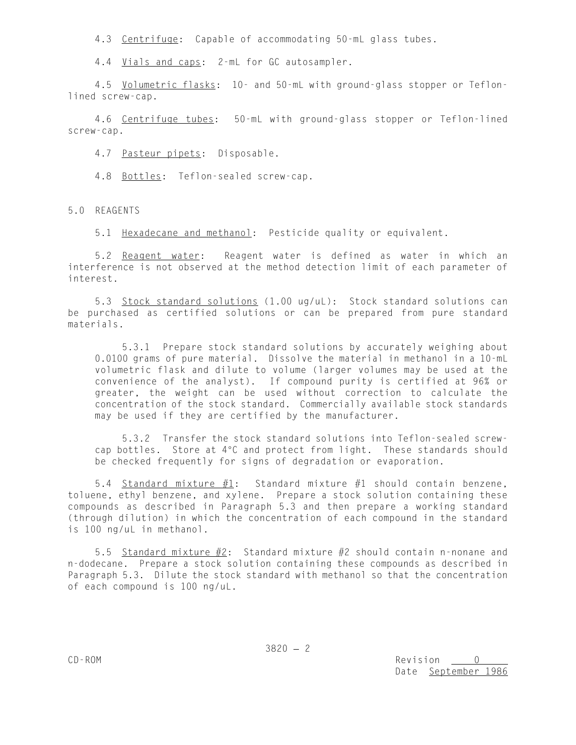4.3 Centrifuge: Capable of accommodating 50-mL glass tubes.

4.4 Vials and caps: 2-mL for GC autosampler.

4.5 Volumetric flasks: 10- and 50-mL with ground-glass stopper or Teflonlined screw-cap.

4.6 Centrifuge tubes: 50-mL with ground-glass stopper or Teflon-lined screw-cap.

4.7 Pasteur pipets: Disposable.

4.8 Bottles: Teflon-sealed screw-cap.

5.0 REAGENTS

5.1 Hexadecane and methanol: Pesticide quality or equivalent.

5.2 Reagent water: Reagent water is defined as water in which an interference is not observed at the method detection limit of each parameter of interest.

5.3 Stock standard solutions (1.00 ug/uL): Stock standard solutions can be purchased as certified solutions or can be prepared from pure standard materials.

5.3.1 Prepare stock standard solutions by accurately weighing about 0.0100 grams of pure material. Dissolve the material in methanol in a 10-mL volumetric flask and dilute to volume (larger volumes may be used at the convenience of the analyst). If compound purity is certified at 96% or greater, the weight can be used without correction to calculate the concentration of the stock standard. Commercially available stock standards may be used if they are certified by the manufacturer.

5.3.2 Transfer the stock standard solutions into Teflon-sealed screwcap bottles. Store at 4°C and protect from light. These standards should be checked frequently for signs of degradation or evaporation.

5.4 Standard mixture  $#1$ : Standard mixture  $#1$  should contain benzene, toluene, ethyl benzene, and xylene. Prepare a stock solution containing these compounds as described in Paragraph 5.3 and then prepare a working standard (through dilution) in which the concentration of each compound in the standard is 100 ng/uL in methanol.

5.5 Standard mixture  $#2$ : Standard mixture  $#2$  should contain n-nonane and n-dodecane. Prepare a stock solution containing these compounds as described in Paragraph 5.3. Dilute the stock standard with methanol so that the concentration of each compound is 100 ng/uL.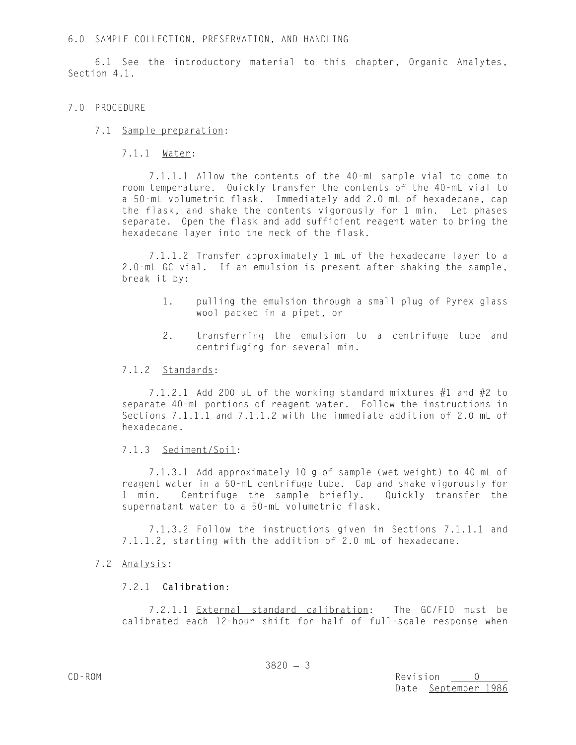### 6.0 SAMPLE COLLECTION, PRESERVATION, AND HANDLING

6.1 See the introductory material to this chapter, Organic Analytes, Section 4.1.

## 7.0 PROCEDURE

## 7.1 Sample preparation:

## 7.1.1 Water:

7.1.1.1 Allow the contents of the 40-mL sample vial to come to room temperature. Quickly transfer the contents of the 40-mL vial to a 50-mL volumetric flask. Immediately add 2.0 mL of hexadecane, cap the flask, and shake the contents vigorously for 1 min. Let phases separate. Open the flask and add sufficient reagent water to bring the hexadecane layer into the neck of the flask.

7.1.1.2 Transfer approximately 1 mL of the hexadecane layer to a 2.0-mL GC vial. If an emulsion is present after shaking the sample, break it by:

- 1. pulling the emulsion through a small plug of Pyrex glass wool packed in a pipet, or
- 2. transferring the emulsion to a centrifuge tube and centrifuging for several min.

### 7.1.2 Standards:

7.1.2.1 Add 200 uL of the working standard mixtures  $#1$  and  $#2$  to separate 40-mL portions of reagent water. Follow the instructions in Sections 7.1.1.1 and 7.1.1.2 with the immediate addition of 2.0 mL of hexadecane.

# 7.1.3 Sediment/Soil:

7.1.3.1 Add approximately 10 g of sample (wet weight) to 40 mL of reagent water in a 50-mL centrifuge tube. Cap and shake vigorously for 1 min. Centrifuge the sample briefly. Quickly transfer the supernatant water to a 50-mL volumetric flask.

7.1.3.2 Follow the instructions given in Sections 7.1.1.1 and 7.1.1.2, starting with the addition of 2.0 mL of hexadecane.

# 7.2 Analysis:

# 7.2.1 **Calibration**:

7.2.1.1 External standard calibration: The GC/FID must be calibrated each 12-hour shift for half of full-scale response when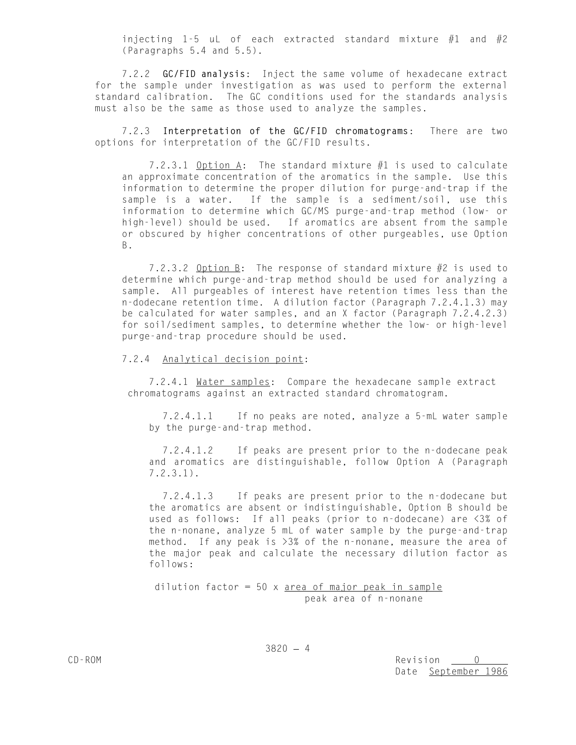injecting 1-5 uL of each extracted standard mixture  $#1$  and  $#2$ (Paragraphs 5.4 and 5.5).

7.2.2 **GC/FID analysis**: Inject the same volume of hexadecane extract for the sample under investigation as was used to perform the external standard calibration. The GC conditions used for the standards analysis must also be the same as those used to analyze the samples.

7.2.3 **Interpretation of the GC/FID chromatograms**: There are two options for interpretation of the GC/FID results.

7.2.3.1 Option A: The standard mixture #1 is used to calculate an approximate concentration of the aromatics in the sample. Use this information to determine the proper dilution for purge-and-trap if the sample is a water. If the sample is a sediment/soil, use this information to determine which GC/MS purge-and-trap method (low- or high-level) should be used. If aromatics are absent from the sample or obscured by higher concentrations of other purgeables, use Option B.

7.2.3.2 Option B: The response of standard mixture #2 is used to determine which purge-and-trap method should be used for analyzing a sample. All purgeables of interest have retention times less than the n-dodecane retention time. A dilution factor (Paragraph 7.2.4.1.3) may be calculated for water samples, and an X factor (Paragraph 7.2.4.2.3) for soil/sediment samples, to determine whether the low- or high-level purge-and-trap procedure should be used.

7.2.4 Analytical decision point:

7.2.4.1 Water samples: Compare the hexadecane sample extract chromatograms against an extracted standard chromatogram.

7.2.4.1.1 If no peaks are noted, analyze a 5-mL water sample by the purge-and-trap method.

7.2.4.1.2 If peaks are present prior to the n-dodecane peak and aromatics are distinguishable, follow Option A (Paragraph 7.2.3.1).

7.2.4.1.3 If peaks are present prior to the n-dodecane but the aromatics are absent or indistinguishable, Option B should be used as follows: If all peaks (prior to n-dodecane) are <3% of the n-nonane, analyze 5 mL of water sample by the purge-and-trap method. If any peak is >3% of the n-nonane, measure the area of the major peak and calculate the necessary dilution factor as follows:

dilution factor =  $50 \times$  area of major peak in sample peak area of n-nonane

CD-ROM Revision 0 Date September 1986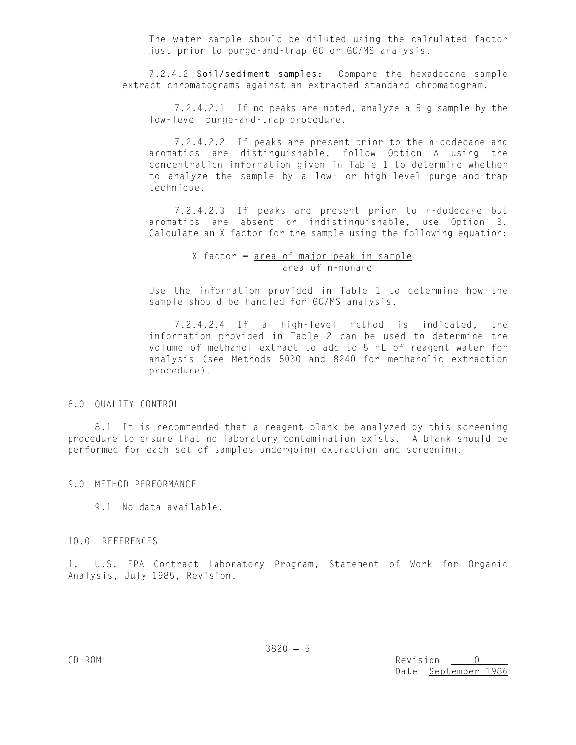The water sample should be diluted using the calculated factor just prior to purge-and-trap GC or GC/MS analysis.

7.2.4.2 **Soil/sediment samples:** Compare the hexadecane sample extract chromatograms against an extracted standard chromatogram.

7.2.4.2.1 If no peaks are noted, analyze a 5-g sample by the low-level purge-and-trap procedure.

7.2.4.2.2 If peaks are present prior to the n-dodecane and aromatics are distinguishable, follow Option A using the concentration information given in Table 1 to determine whether to analyze the sample by a low- or high-level purge-and-trap technique.

7.2.4.2.3 If peaks are present prior to n-dodecane but aromatics are absent or indistinguishable, use Option B. Calculate an X factor for the sample using the following equation:

> X factor = area of major peak in sample area of n-nonane

Use the information provided in Table 1 to determine how the sample should be handled for GC/MS analysis.

7.2.4.2.4 If a high-level method is indicated, the information provided in Table 2 can be used to determine the volume of methanol extract to add to 5 mL of reagent water for analysis (see Methods 5030 and 8240 for methanolic extraction procedure).

8.0 QUALITY CONTROL

8.1 It is recommended that a reagent blank be analyzed by this screening procedure to ensure that no laboratory contamination exists. A blank should be performed for each set of samples undergoing extraction and screening.

9.0 METHOD PERFORMANCE

9.1 No data available.

10.0 REFERENCES

1. U.S. EPA Contract Laboratory Program, Statement of Work for Organic Analysis, July 1985, Revision.

CD-ROM Revision Date September 1986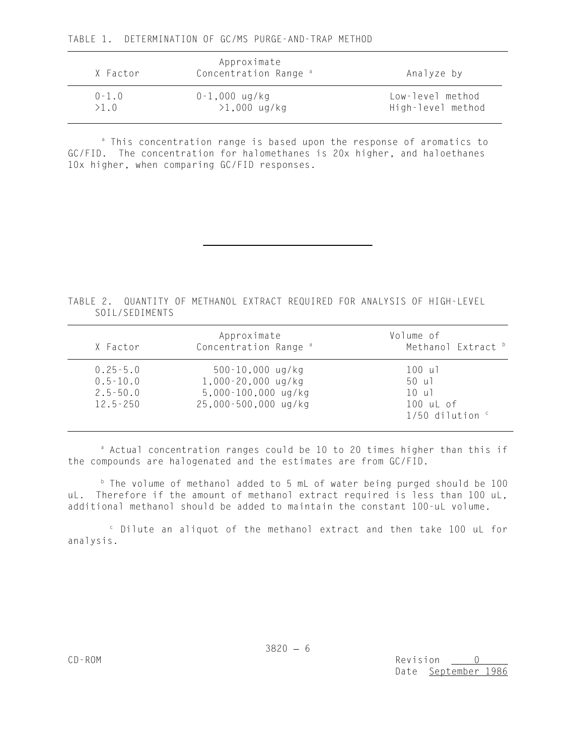<sup>a</sup> This concentration range is based upon the response of aromatics to GC/FID. The concentration for halomethanes is 20x higher, and haloethanes 10x higher, when comparing GC/FID responses.

TABLE 2. QUANTITY OF METHANOL EXTRACT REQUIRED FOR ANALYSIS OF HIGH-LEVEL SOIL/SEDIMENTS

| X Factor                                                     | Approximate<br>Concentration Range <sup>a</sup>                                               | Volume of<br>Methanol Extract b                                      |
|--------------------------------------------------------------|-----------------------------------------------------------------------------------------------|----------------------------------------------------------------------|
| $0.25 - 5.0$<br>$0.5 - 10.0$<br>$2.5 - 50.0$<br>$12.5 - 250$ | $500 - 10,000$ ug/kg<br>$1,000 - 20,000$ ug/kg<br>5,000-100,000 ug/kg<br>25,000-500,000 ug/kg | 100 ul<br>50 ul<br>10 ul<br>$100$ uL of<br>$1/50$ dilution $\degree$ |

<sup>a</sup> Actual concentration ranges could be 10 to 20 times higher than this if the compounds are halogenated and the estimates are from GC/FID.

 $b$  The volume of methanol added to 5 mL of water being purged should be 100 uL. Therefore if the amount of methanol extract required is less than 100 uL, additional methanol should be added to maintain the constant 100-uL volume.

 $\degree$  Dilute an aliquot of the methanol extract and then take 100 uL for analysis.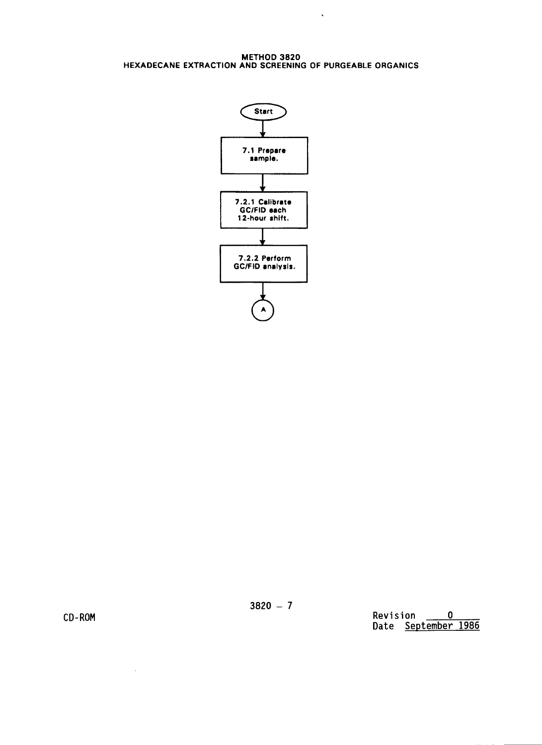METHOD 3820<br>HEXADECANE EXTRACTION AND SCREENING OF PURGEABLE ORGANICS

 $\sim 10^{11}$ 



CD-ROM

 $\sim 10^6$ 

Revision  $\qquad \qquad 0$ Date September 1986